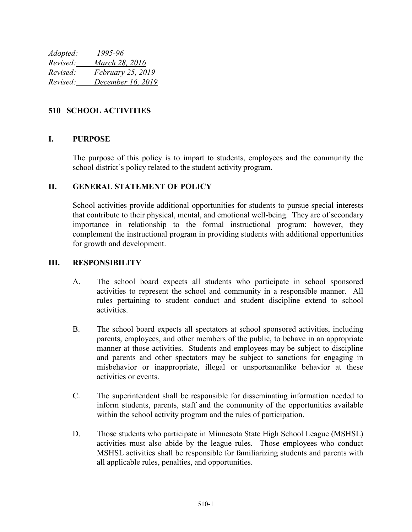| Adopted: | 1995-96                  |
|----------|--------------------------|
| Revised: | March 28, 2016           |
| Revised: | <i>February 25, 2019</i> |
| Revised: | December 16, 2019        |

## **510 SCHOOL ACTIVITIES**

## **I. PURPOSE**

The purpose of this policy is to impart to students, employees and the community the school district's policy related to the student activity program.

## **II. GENERAL STATEMENT OF POLICY**

School activities provide additional opportunities for students to pursue special interests that contribute to their physical, mental, and emotional well-being. They are of secondary importance in relationship to the formal instructional program; however, they complement the instructional program in providing students with additional opportunities for growth and development.

## **III. RESPONSIBILITY**

- A. The school board expects all students who participate in school sponsored activities to represent the school and community in a responsible manner. All rules pertaining to student conduct and student discipline extend to school activities.
- B. The school board expects all spectators at school sponsored activities, including parents, employees, and other members of the public, to behave in an appropriate manner at those activities. Students and employees may be subject to discipline and parents and other spectators may be subject to sanctions for engaging in misbehavior or inappropriate, illegal or unsportsmanlike behavior at these activities or events.
- C. The superintendent shall be responsible for disseminating information needed to inform students, parents, staff and the community of the opportunities available within the school activity program and the rules of participation.
- D. Those students who participate in Minnesota State High School League (MSHSL) activities must also abide by the league rules. Those employees who conduct MSHSL activities shall be responsible for familiarizing students and parents with all applicable rules, penalties, and opportunities.